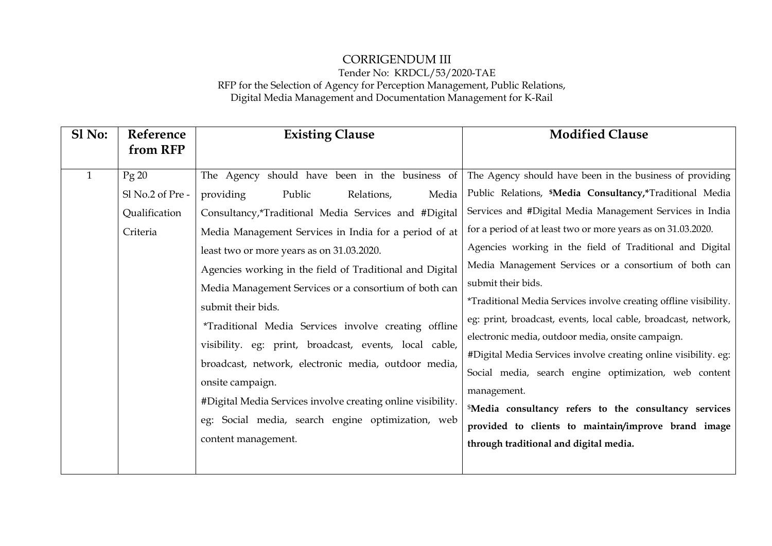## CORRIGENDUM III Tender No: KRDCL/53/2020-TAE RFP for the Selection of Agency for Perception Management, Public Relations, Digital Media Management and Documentation Management for K-Rail

| Sl No:       | Reference                                             | <b>Existing Clause</b>                                                                                                                                                                                                                                                                                                                                                                                                                                                                                                                                                                                                                                                                                                                         | <b>Modified Clause</b>                                                                                                                                                                                                                                                                                                                                                                                                                                                                                                                                                                                                                                                                                                                                                                                                                                                                                                 |
|--------------|-------------------------------------------------------|------------------------------------------------------------------------------------------------------------------------------------------------------------------------------------------------------------------------------------------------------------------------------------------------------------------------------------------------------------------------------------------------------------------------------------------------------------------------------------------------------------------------------------------------------------------------------------------------------------------------------------------------------------------------------------------------------------------------------------------------|------------------------------------------------------------------------------------------------------------------------------------------------------------------------------------------------------------------------------------------------------------------------------------------------------------------------------------------------------------------------------------------------------------------------------------------------------------------------------------------------------------------------------------------------------------------------------------------------------------------------------------------------------------------------------------------------------------------------------------------------------------------------------------------------------------------------------------------------------------------------------------------------------------------------|
|              | from RFP                                              |                                                                                                                                                                                                                                                                                                                                                                                                                                                                                                                                                                                                                                                                                                                                                |                                                                                                                                                                                                                                                                                                                                                                                                                                                                                                                                                                                                                                                                                                                                                                                                                                                                                                                        |
| $\mathbf{1}$ | Pg 20<br>Sl No.2 of Pre-<br>Qualification<br>Criteria | The Agency should have been in the business of<br>providing<br>Public<br>Media<br>Relations,<br>Consultancy,*Traditional Media Services and #Digital<br>Media Management Services in India for a period of at<br>least two or more years as on 31.03.2020.<br>Agencies working in the field of Traditional and Digital<br>Media Management Services or a consortium of both can<br>submit their bids.<br>*Traditional Media Services involve creating offline<br>visibility. eg: print, broadcast, events, local cable,<br>broadcast, network, electronic media, outdoor media,<br>onsite campaign.<br>#Digital Media Services involve creating online visibility.<br>eg: Social media, search engine optimization, web<br>content management. | The Agency should have been in the business of providing<br>Public Relations, <i>SMedia Consultancy</i> , <i>Traditional Media</i><br>Services and #Digital Media Management Services in India<br>for a period of at least two or more years as on 31.03.2020.<br>Agencies working in the field of Traditional and Digital<br>Media Management Services or a consortium of both can<br>submit their bids.<br>*Traditional Media Services involve creating offline visibility.<br>eg: print, broadcast, events, local cable, broadcast, network,<br>electronic media, outdoor media, onsite campaign.<br>#Digital Media Services involve creating online visibility. eg:<br>Social media, search engine optimization, web content<br>management.<br><sup>\$</sup> Media consultancy refers to the consultancy services<br>provided to clients to maintain/improve brand image<br>through traditional and digital media. |
|              |                                                       |                                                                                                                                                                                                                                                                                                                                                                                                                                                                                                                                                                                                                                                                                                                                                |                                                                                                                                                                                                                                                                                                                                                                                                                                                                                                                                                                                                                                                                                                                                                                                                                                                                                                                        |